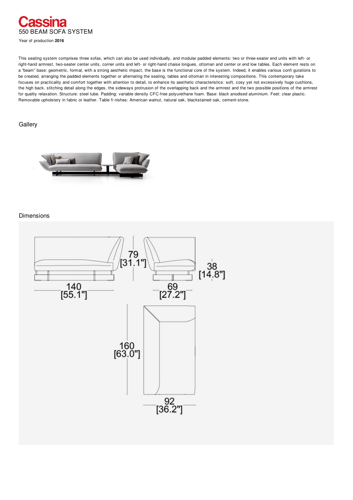

Year of production **2016**

This seating system comprises three sofas, which can also be used individually, and modular padded elements: two or three-seater end units with left- or right-hand armrest, two-seater center units, corner units and left- or right-hand chaise longues, ottoman and center or end low tables. Each element rests on a "beam" base: geometric, formal, with a strong aesthetic impact, the base is the functional core of the system. Indeed, it enables various confi gurations to be created, arranging the padded elements together or alternating the seating, tables and ottoman in interesting compositions. This contemporary take focuses on practicality and comfort together with attention to detail, to enhance its aesthetic characteristics: soft, cosy yet not excessively huge cushions, the high back, stitching detail along the edges, the sideways protrusion of the overlapping back and the armrest and the two possible positions of the armrest for quality relaxation. Structure: steel tube. Padding: variable density CFC-free polyurethane foam. Base: black anodised aluminium. Feet: clear plastic. Removable upholstery in fabric or leather. Table fi nishes: American walnut, natural oak, blackstained oak, cement-stone.

## **Gallery**



## Dimensions

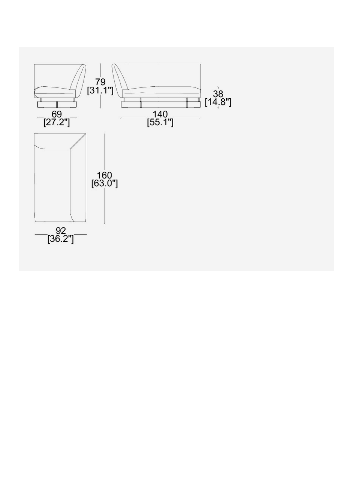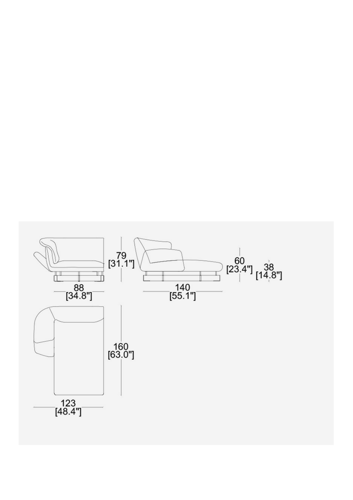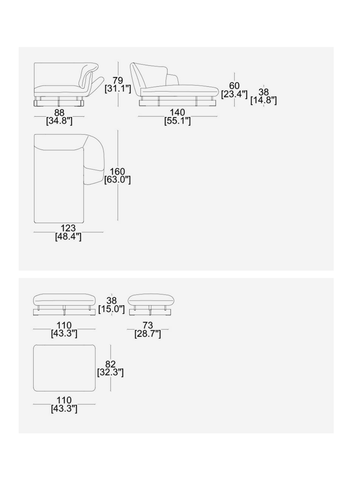

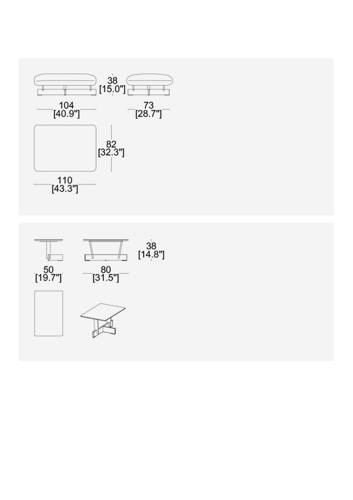

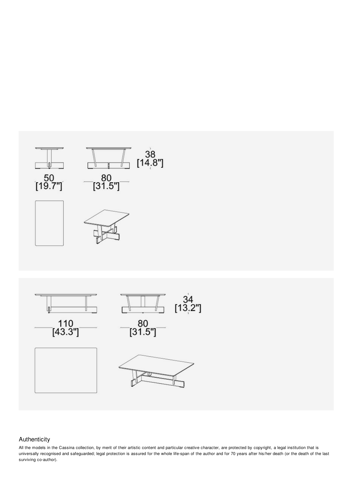

## Authenticity

All the models in the Cassina collection, by merit of their artistic content and particular creative character, are protected by copyright, a legal institution that is universally recognised and safeguarded; legal protection is assured for the whole life-span of the author and for 70 years after his/her death (or the death of the last surviving co-author).